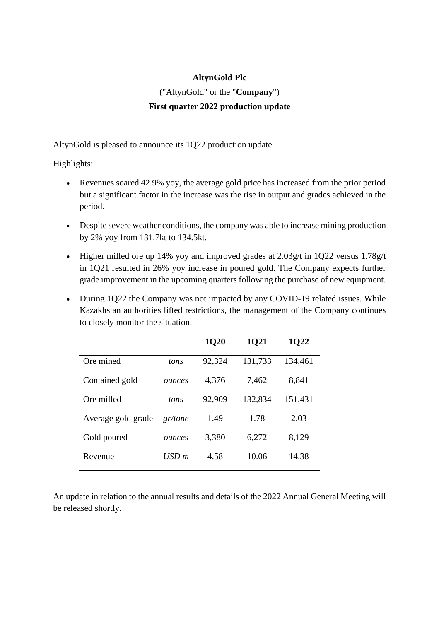## **AltynGold Plc**

# ("AltynGold" or the "**Company**") **First quarter 2022 production update**

AltynGold is pleased to announce its 1Q22 production update.

Highlights:

- Revenues soared 42.9% yoy, the average gold price has increased from the prior period but a significant factor in the increase was the rise in output and grades achieved in the period.
- Despite severe weather conditions, the company was able to increase mining production by 2% yoy from 131.7kt to 134.5kt.
- Higher milled ore up 14% yoy and improved grades at 2.03g/t in 1Q22 versus 1.78g/t in 1Q21 resulted in 26% yoy increase in poured gold. The Company expects further grade improvement in the upcoming quarters following the purchase of new equipment.
- During 1Q22 the Company was not impacted by any COVID-19 related issues. While Kazakhstan authorities lifted restrictions, the management of the Company continues to closely monitor the situation.

|                    |                    | <b>1Q20</b> | 1Q21    | 1Q22    |
|--------------------|--------------------|-------------|---------|---------|
| Ore mined          | tons               | 92,324      | 131,733 | 134,461 |
| Contained gold     | ounces             | 4,376       | 7,462   | 8,841   |
| Ore milled         | tons               | 92,909      | 132,834 | 151,431 |
| Average gold grade | gr/tone            | 1.49        | 1.78    | 2.03    |
| Gold poured        | ounces             | 3,380       | 6,272   | 8,129   |
| Revenue            | $\overline{USD}$ m | 4.58        | 10.06   | 14.38   |
|                    |                    |             |         |         |

An update in relation to the annual results and details of the 2022 Annual General Meeting will be released shortly.